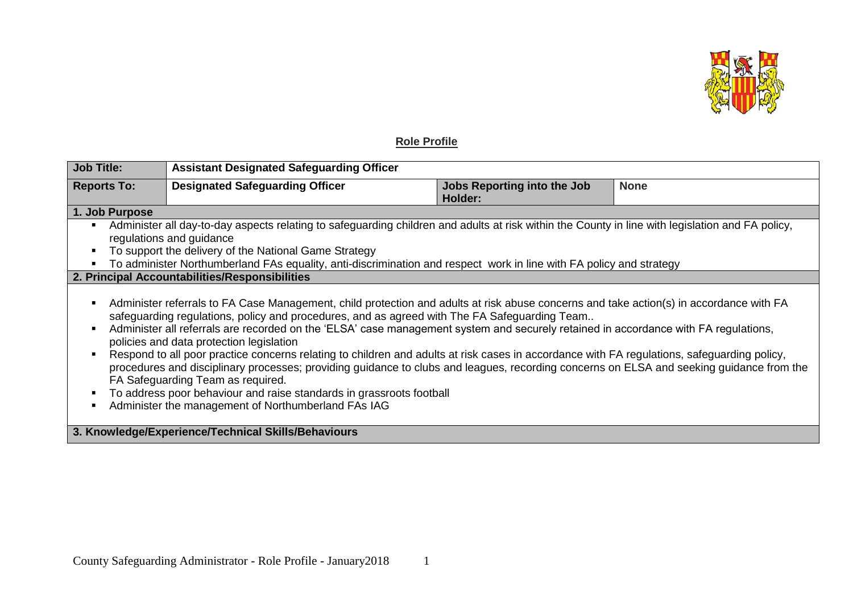

## **Role Profile**

| <b>Job Title:</b>                                                                                                                                                                                                                                                                                                                                                                                                                                                                                                                                                                                                                                                                                                                                                                                                                                                                              | <b>Assistant Designated Safeguarding Officer</b> |                                               |             |  |
|------------------------------------------------------------------------------------------------------------------------------------------------------------------------------------------------------------------------------------------------------------------------------------------------------------------------------------------------------------------------------------------------------------------------------------------------------------------------------------------------------------------------------------------------------------------------------------------------------------------------------------------------------------------------------------------------------------------------------------------------------------------------------------------------------------------------------------------------------------------------------------------------|--------------------------------------------------|-----------------------------------------------|-------------|--|
| <b>Reports To:</b>                                                                                                                                                                                                                                                                                                                                                                                                                                                                                                                                                                                                                                                                                                                                                                                                                                                                             | <b>Designated Safeguarding Officer</b>           | <b>Jobs Reporting into the Job</b><br>Holder: | <b>None</b> |  |
| 1. Job Purpose                                                                                                                                                                                                                                                                                                                                                                                                                                                                                                                                                                                                                                                                                                                                                                                                                                                                                 |                                                  |                                               |             |  |
| Administer all day-to-day aspects relating to safeguarding children and adults at risk within the County in line with legislation and FA policy,<br>regulations and guidance<br>To support the delivery of the National Game Strategy<br>To administer Northumberland FAs equality, anti-discrimination and respect work in line with FA policy and strategy                                                                                                                                                                                                                                                                                                                                                                                                                                                                                                                                   |                                                  |                                               |             |  |
| 2. Principal Accountabilities/Responsibilities                                                                                                                                                                                                                                                                                                                                                                                                                                                                                                                                                                                                                                                                                                                                                                                                                                                 |                                                  |                                               |             |  |
| Administer referrals to FA Case Management, child protection and adults at risk abuse concerns and take action(s) in accordance with FA<br>п<br>safeguarding regulations, policy and procedures, and as agreed with The FA Safeguarding Team<br>Administer all referrals are recorded on the 'ELSA' case management system and securely retained in accordance with FA regulations,<br>policies and data protection legislation<br>Respond to all poor practice concerns relating to children and adults at risk cases in accordance with FA regulations, safeguarding policy,<br>procedures and disciplinary processes; providing guidance to clubs and leagues, recording concerns on ELSA and seeking guidance from the<br>FA Safeguarding Team as required.<br>To address poor behaviour and raise standards in grassroots football<br>Administer the management of Northumberland FAs IAG |                                                  |                                               |             |  |
| 3. Knowledge/Experience/Technical Skills/Behaviours                                                                                                                                                                                                                                                                                                                                                                                                                                                                                                                                                                                                                                                                                                                                                                                                                                            |                                                  |                                               |             |  |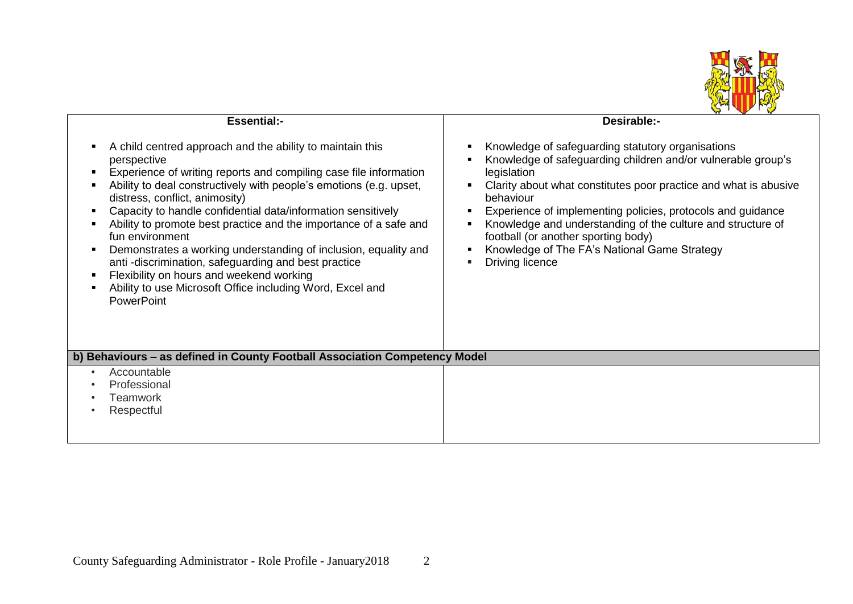

|                                                                                                                                                                                                                                                                                                                                                                                                                                                                                                                                                                                                                                                                                                    | <b>W</b> Y                                                                                                                                                                                                                                                                                                                                                                                                                                                |  |  |  |
|----------------------------------------------------------------------------------------------------------------------------------------------------------------------------------------------------------------------------------------------------------------------------------------------------------------------------------------------------------------------------------------------------------------------------------------------------------------------------------------------------------------------------------------------------------------------------------------------------------------------------------------------------------------------------------------------------|-----------------------------------------------------------------------------------------------------------------------------------------------------------------------------------------------------------------------------------------------------------------------------------------------------------------------------------------------------------------------------------------------------------------------------------------------------------|--|--|--|
| <b>Essential:-</b>                                                                                                                                                                                                                                                                                                                                                                                                                                                                                                                                                                                                                                                                                 | Desirable:-                                                                                                                                                                                                                                                                                                                                                                                                                                               |  |  |  |
| A child centred approach and the ability to maintain this<br>$\blacksquare$<br>perspective<br>Experience of writing reports and compiling case file information<br>Ability to deal constructively with people's emotions (e.g. upset,<br>distress, conflict, animosity)<br>Capacity to handle confidential data/information sensitively<br>Ability to promote best practice and the importance of a safe and<br>fun environment<br>Demonstrates a working understanding of inclusion, equality and<br>$\blacksquare$<br>anti-discrimination, safeguarding and best practice<br>Flexibility on hours and weekend working<br>Ability to use Microsoft Office including Word, Excel and<br>PowerPoint | Knowledge of safeguarding statutory organisations<br>Knowledge of safeguarding children and/or vulnerable group's<br>legislation<br>Clarity about what constitutes poor practice and what is abusive<br>behaviour<br>Experience of implementing policies, protocols and guidance<br>Knowledge and understanding of the culture and structure of<br>football (or another sporting body)<br>Knowledge of The FA's National Game Strategy<br>Driving licence |  |  |  |
| b) Behaviours – as defined in County Football Association Competency Model                                                                                                                                                                                                                                                                                                                                                                                                                                                                                                                                                                                                                         |                                                                                                                                                                                                                                                                                                                                                                                                                                                           |  |  |  |
| Accountable<br>$\bullet$<br>Professional<br>Teamwork<br>Respectful                                                                                                                                                                                                                                                                                                                                                                                                                                                                                                                                                                                                                                 |                                                                                                                                                                                                                                                                                                                                                                                                                                                           |  |  |  |